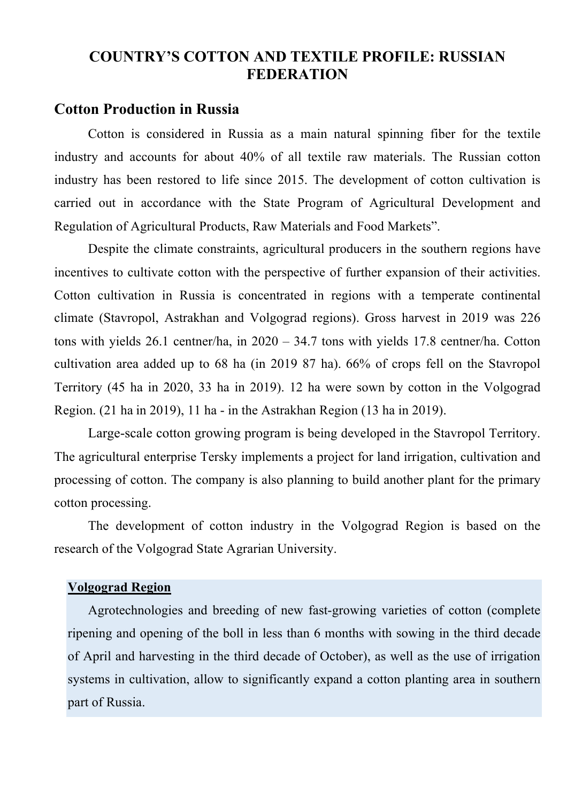### **COUNTRY'S COTTON AND TEXTILE PROFILE: RUSSIAN FEDERATION**

#### **Cotton Production in Russia**

Cotton is considered in Russia as a main natural spinning fiber for the textile industry and accounts for about 40% of all textile raw materials. The Russian cotton industry has been restored to life since 2015. The development of cotton cultivation is carried out in accordance with the State Program of Agricultural Development and Regulation of Agricultural Products, Raw Materials and Food Markets".

Despite the climate constraints, agricultural producers in the southern regions have incentives to cultivate cotton with the perspective of further expansion of their activities. Cotton cultivation in Russia is concentrated in regions with a temperate continental climate (Stavropol, Astrakhan and Volgograd regions). Gross harvest in 2019 was 226 tons with yields 26.1 centner/ha, in 2020 – 34.7 tons with yields 17.8 centner/ha. Cotton cultivation area added up to 68 ha (in 2019 87 ha). 66% of crops fell on the Stavropol Territory (45 ha in 2020, 33 ha in 2019). 12 ha were sown by cotton in the Volgograd Region. (21 ha in 2019), 11 ha - in the Astrakhan Region (13 ha in 2019).

Large-scale cotton growing program is being developed in the Stavropol Territory. The agricultural enterprise Tersky implements a project for land irrigation, cultivation and processing of cotton. The company is also planning to build another plant for the primary cotton processing.

The development of cotton industry in the Volgograd Region is based on the research of the Volgograd State Agrarian University.

#### **Volgograd Region**

Agrotechnologies and breeding of new fast-growing varieties of cotton (complete ripening and opening of the boll in less than 6 months with sowing in the third decade of April and harvesting in the third decade of October), as well as the use of irrigation systems in cultivation, allow to significantly expand a cotton planting area in southern part of Russia.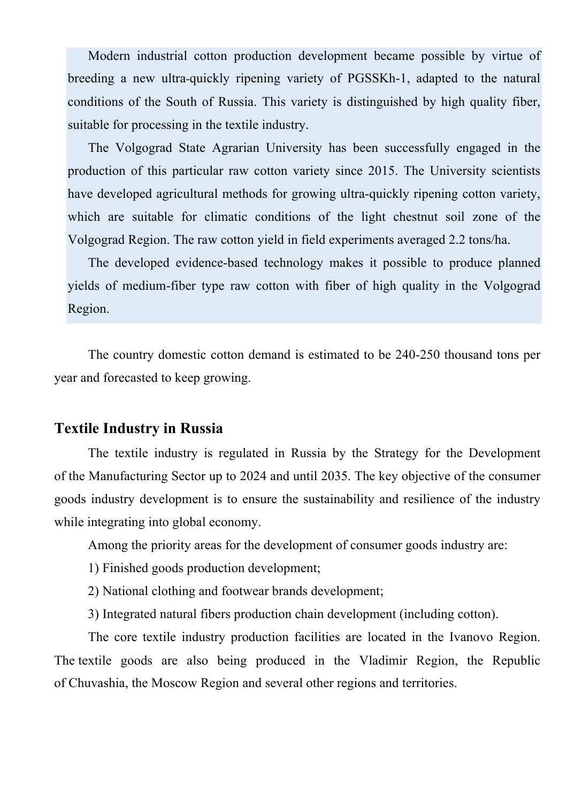Modern industrial cotton production development became possible by virtue of breeding a new ultra-quickly ripening variety of PGSSKh-1, adapted to the natural conditions of the South of Russia. This variety is distinguished by high quality fiber, suitable for processing in the textile industry.

The Volgograd State Agrarian University has been successfully engaged in the production of this particular raw cotton variety since 2015. The University scientists have developed agricultural methods for growing ultra-quickly ripening cotton variety, which are suitable for climatic conditions of the light chestnut soil zone of the Volgograd Region. The raw cotton yield in field experiments averaged 2.2 tons/ha.

The developed evidence-based technology makes it possible to produce planned yields of medium-fiber type raw cotton with fiber of high quality in the Volgograd Region.

The country domestic cotton demand is estimated to be 240-250 thousand tons per year and forecasted to keep growing.

#### **Textile Industry in Russia**

The textile industry is regulated in Russia by the Strategy for the Development of the Manufacturing Sector up to 2024 and until 2035. The key objective of the consumer goods industry development is to ensure the sustainability and resilience of the industry while integrating into global economy.

Among the priority areas for the development of consumer goods industry are:

1) Finished goods production development;

2) National clothing and footwear brands development;

3) Integrated natural fibers production chain development (including cotton).

The core textile industry production facilities are located in the Ivanovo Region. The textile goods are also being produced in the Vladimir Region, the Republic of Chuvashia, the Moscow Region and several other regions and territories.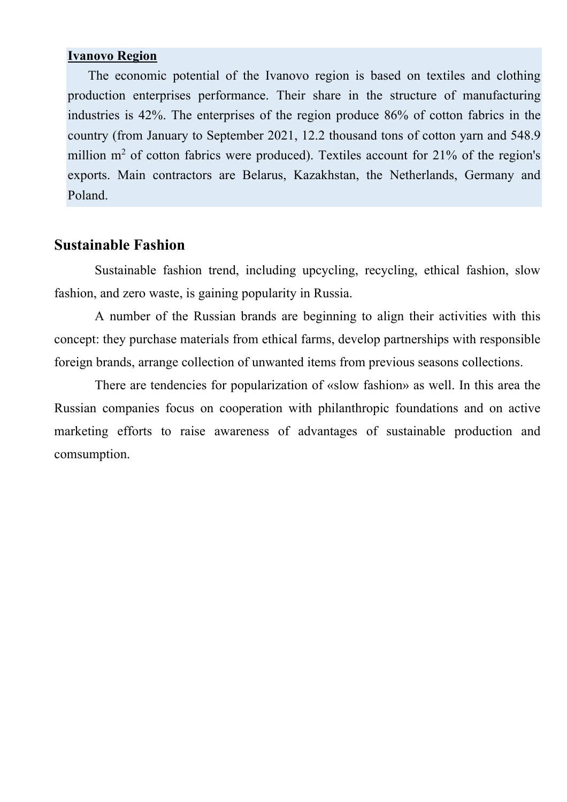#### **Ivanovo Region**

The economic potential of the Ivanovo region is based on textiles and clothing production enterprises performance. Their share in the structure of manufacturing industries is 42%. The enterprises of the region produce 86% of cotton fabrics in the country (from January to September 2021, 12.2 thousand tons of cotton yarn and 548.9 million  $m<sup>2</sup>$  of cotton fabrics were produced). Textiles account for 21% of the region's exports. Main contractors are Belarus, Kazakhstan, the Netherlands, Germany and Poland.

#### **Sustainable Fashion**

Sustainable fashion trend, including upcycling, recycling, ethical fashion, slow fashion, and zero waste, is gaining popularity in Russia.

A number of the Russian brands are beginning to align their activities with this concept: they purchase materials from ethical farms, develop partnerships with responsible foreign brands, arrange collection of unwanted items from previous seasons collections.

There are tendencies for popularization of «slow fashion» as well. In this area the Russian companies focus on cooperation with philanthropic foundations and on active marketing efforts to raise awareness of advantages of sustainable production and comsumption.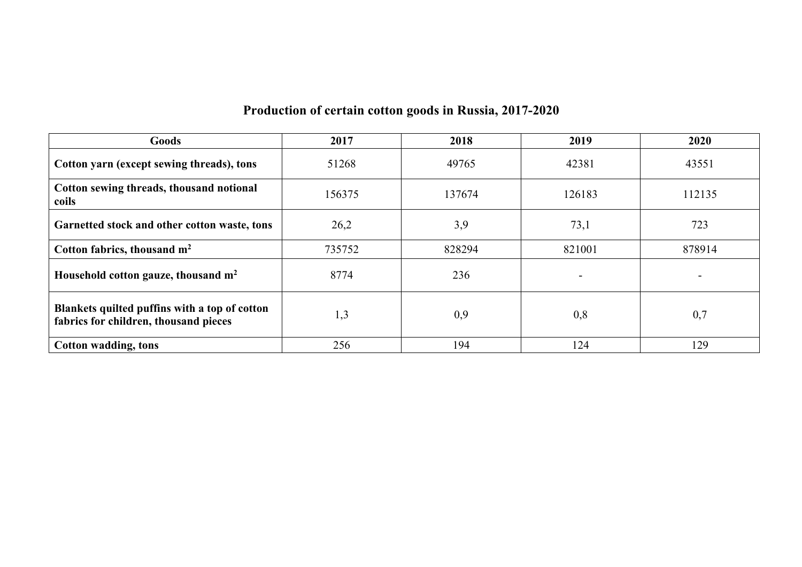# **Production of certain cotton goods in Russia, 2017-2020**

| Goods                                                                                  | 2017   | 2018   | 2019   | 2020                     |
|----------------------------------------------------------------------------------------|--------|--------|--------|--------------------------|
| Cotton yarn (except sewing threads), tons                                              | 51268  | 49765  | 42381  | 43551                    |
| Cotton sewing threads, thousand notional<br>coils                                      | 156375 | 137674 | 126183 | 112135                   |
| Garnetted stock and other cotton waste, tons                                           | 26,2   | 3,9    | 73,1   | 723                      |
| Cotton fabrics, thousand $m2$                                                          | 735752 | 828294 | 821001 | 878914                   |
| Household cotton gauze, thousand m <sup>2</sup>                                        | 8774   | 236    |        | $\overline{\phantom{0}}$ |
| Blankets quilted puffins with a top of cotton<br>fabrics for children, thousand pieces | 1,3    | 0,9    | 0,8    | 0,7                      |
| Cotton wadding, tons                                                                   | 256    | 194    | 124    | 129                      |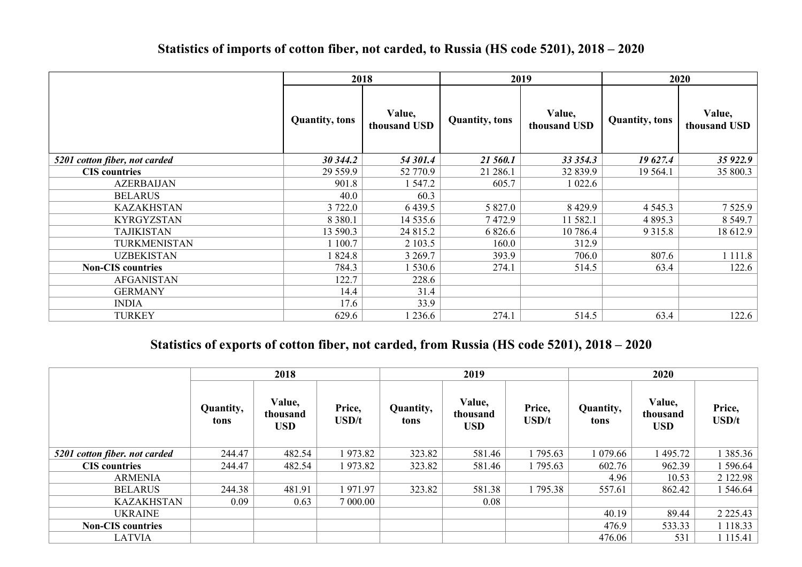| Statistics of imports of cotton fiber, not carded, to Russia (HS code 5201), 2018 – 2020 |
|------------------------------------------------------------------------------------------|
|------------------------------------------------------------------------------------------|

|                               | 2018<br>2019           |                        |                        | 2020                   |                        |                        |
|-------------------------------|------------------------|------------------------|------------------------|------------------------|------------------------|------------------------|
|                               | <b>Quantity</b> , tons | Value,<br>thousand USD | <b>Quantity</b> , tons | Value,<br>thousand USD | <b>Quantity</b> , tons | Value,<br>thousand USD |
| 5201 cotton fiber, not carded | 30 344.2               | 54 301.4               | 21 560.1               | 33 354.3               | 19627.4                | 35 922.9               |
| <b>CIS</b> countries          | 29 559.9               | 52 770.9               | 21 286.1               | 32 839.9               | 19 5 64.1              | 35 800.3               |
| <b>AZERBAIJAN</b>             | 901.8                  | 1 547.2                | 605.7                  | 1 022.6                |                        |                        |
| <b>BELARUS</b>                | 40.0                   | 60.3                   |                        |                        |                        |                        |
| <b>KAZAKHSTAN</b>             | 3 722.0                | 6 4 3 9.5              | 5 827.0                | 8 4 29.9               | 4 5 4 5 .3             | 7 5 2 5 .9             |
| <b>KYRGYZSTAN</b>             | 8 3 8 0 . 1            | 14 535.6               | 7472.9                 | 11 582.1               | 4 8 9 5 . 3            | 8 5 4 9 . 7            |
| <b>TAJIKISTAN</b>             | 13 590.3               | 24 815.2               | 6 8 2 6 . 6            | 10 786.4               | 9 3 1 5 .8             | 18 612.9               |
| TURKMENISTAN                  | 1 100.7                | 2 103.5                | 160.0                  | 312.9                  |                        |                        |
| <b>UZBEKISTAN</b>             | 1824.8                 | 3 2 6 9 . 7            | 393.9                  | 706.0                  | 807.6                  | 1 1 1 1 .8             |
| <b>Non-CIS</b> countries      | 784.3                  | 1 530.6                | 274.1                  | 514.5                  | 63.4                   | 122.6                  |
| <b>AFGANISTAN</b>             | 122.7                  | 228.6                  |                        |                        |                        |                        |
| <b>GERMANY</b>                | 14.4                   | 31.4                   |                        |                        |                        |                        |
| <b>INDIA</b>                  | 17.6                   | 33.9                   |                        |                        |                        |                        |
| <b>TURKEY</b>                 | 629.6                  | 1 236.6                | 274.1                  | 514.5                  | 63.4                   | 122.6                  |

## **Statistics of exports of cotton fiber, not carded, from Russia (HS code 5201), 2018 – 2020**

|                               | 2018              |                                  |                       | 2019              |                                  |                        | 2020              |                                  |                        |
|-------------------------------|-------------------|----------------------------------|-----------------------|-------------------|----------------------------------|------------------------|-------------------|----------------------------------|------------------------|
|                               | Quantity,<br>tons | Value,<br>thousand<br><b>USD</b> | Price,<br>$\bf USD/t$ | Quantity,<br>tons | Value,<br>thousand<br><b>USD</b> | Price,<br><b>USD/t</b> | Quantity,<br>tons | Value,<br>thousand<br><b>USD</b> | Price,<br>$\bf{USD/t}$ |
| 5201 cotton fiber. not carded | 244.47            | 482.54                           | 1973.82               | 323.82            | 581.46                           | 1795.63                | 1 079.66          | 495.72                           | 1 3 8 5 . 3 6          |
| <b>CIS</b> countries          | 244.47            | 482.54                           | 1973.82               | 323.82            | 581.46                           | 1795.63                | 602.76            | 962.39                           | 1 596.64               |
| <b>ARMENIA</b>                |                   |                                  |                       |                   |                                  |                        | 4.96              | 10.53                            | 2 122.98               |
| <b>BELARUS</b>                | 244.38            | 481.91                           | 1971.97               | 323.82            | 581.38                           | 1 795.38               | 557.61            | 862.42                           | 1 546.64               |
| <b>KAZAKHSTAN</b>             | 0.09              | 0.63                             | 7 000.00              |                   | 0.08                             |                        |                   |                                  |                        |
| <b>UKRAINE</b>                |                   |                                  |                       |                   |                                  |                        | 40.19             | 89.44                            | 2 2 2 5 . 4 3          |
| <b>Non-CIS</b> countries      |                   |                                  |                       |                   |                                  |                        | 476.9             | 533.33                           | 1 1 1 8 . 3 3          |
| <b>LATVIA</b>                 |                   |                                  |                       |                   |                                  |                        | 476.06            | 531                              | 1 1 1 5 .4 1           |